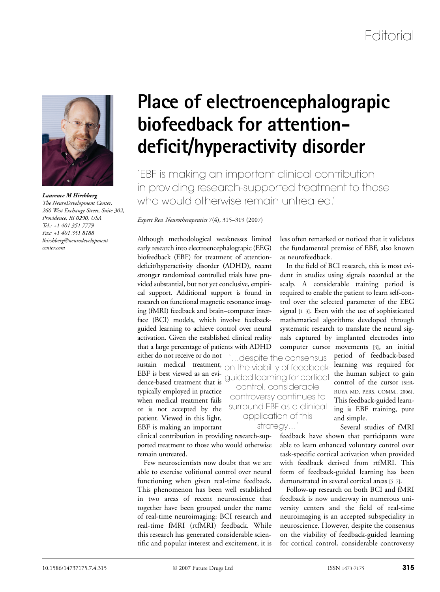

*The NeuroDevelopment Center, 260 West Exchange Street, Suite 302, Providence, RI 0290, USA Tel.: +1 401 351 7779 Fax: +1 401 351 8188 lhirshberg@neurodevelopment center.com*

# **Place of electroencephalograpic biofeedback for attentiondeficit/hyperactivity disorder**

'EBF is making an important clinical contribution in providing research-supported treatment to those who would otherwise remain untreated.' *Laurence M Hirshberg*

#### *Expert Rev. Neurotherapeutics* 7(4), 315–319 (2007)

Although methodological weaknesses limited early research into electroencephalograpic (EEG) biofeedback (EBF) for treatment of attentiondeficit/hyperactivity disorder (ADHD), recent stronger randomized controlled trials have provided substantial, but not yet conclusive, empirical support. Additional support is found in research on functional magnetic resonance imaging (fMRI) feedback and brain–computer interface (BCI) models, which involve feedbackguided learning to achieve control over neural activation. Given the established clinical reality that a large percentage of patients with ADHD

either do not receive or do not sustain medical treatment, EBF is best viewed as an evidence-based treatment that is typically employed in practice when medical treatment fails or is not accepted by the patient. Viewed in this light, EBF is making an important

clinical contribution in providing research-supported treatment to those who would otherwise remain untreated.

Few neuroscientists now doubt that we are able to exercise volitional control over neural functioning when given real-time feedback. This phenomenon has been well established in two areas of recent neuroscience that together have been grouped under the name of real-time neuroimaging: BCI research and real-time fMRI (rtfMRI) feedback. While this research has generated considerable scientific and popular interest and excitement, it is less often remarked or noticed that it validates the fundamental premise of EBF, also known as neurofeedback.

In the field of BCI research, this is most evident in studies using signals recorded at the scalp. A considerable training period is required to enable the patient to learn self-control over the selected parameter of the EEG signal [1–3]. Even with the use of sophisticated mathematical algorithms developed through systematic research to translate the neural signals captured by implanted electrodes into computer cursor movements [4], an initial period of feedback-based learning was required for the human subject to gain control of the cursor [SER-RUYA MD, PERS. COMM., 2006]. This feedback-guided learning is EBF training, pure and simple. '…despite the consensus on the viability of feedbackguided learning for cortical control, considerable controversy continues to surround EBF as a clinical application of this

Several studies of fMRI feedback have shown that participants were able to learn enhanced voluntary control over task-specific cortical activation when provided with feedback derived from rtfMRI. This form of feedback-guided learning has been demonstrated in several cortical areas [5–7]. strategy…'

> Follow-up research on both BCI and fMRI feedback is now underway in numerous university centers and the field of real-time neuroimaging is an accepted subspeciality in neuroscience. However, despite the consensus on the viability of feedback-guided learning for cortical control, considerable controversy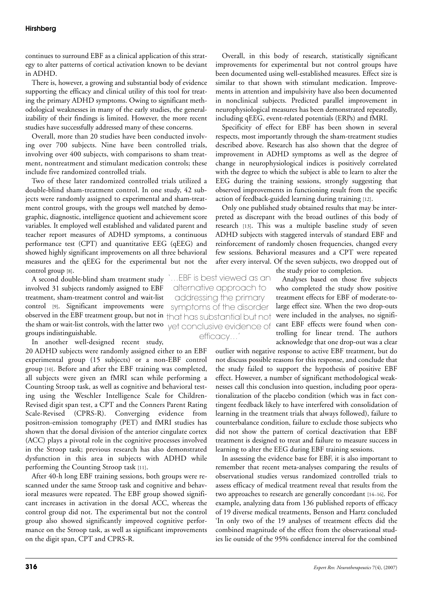# **Hirshberg**

continues to surround EBF as a clinical application of this strategy to alter patterns of cortical activation known to be deviant in ADHD.

There is, however, a growing and substantial body of evidence supporting the efficacy and clinical utility of this tool for treating the primary ADHD symptoms. Owing to significant methodological weaknesses in many of the early studies, the generalizability of their findings is limited. However, the more recent studies have successfully addressed many of these concerns.

Overall, more than 20 studies have been conducted involving over 700 subjects. Nine have been controlled trials, involving over 400 subjects, with comparisons to sham treatment, nontreatment and stimulant medication controls; these include five randomized controlled trials.

Two of these later randomized controlled trials utilized a double-blind sham-treatment control. In one study, 42 subjects were randomly assigned to experimental and sham-treatment control groups, with the groups well matched by demographic, diagnostic, intelligence quotient and achievement score variables. It employed well established and validated parent and teacher report measures of ADHD symptoms, a continuous performance test (CPT) and quantitative EEG (qEEG) and showed highly significant improvements on all three behavioral measures and the qEEG for the experimental but not the control group [8].

A second double-blind sham treatment study '…EBF is best viewed as an involved 31 subjects randomly assigned to EBF treatment, sham-treatment control and wait-list control [9]. Significant improvements were observed in the EBF treatment group, but not in  $\uparrow$  has substantial but not the sham or wait-list controls, with the latter two  $\gamma$ et conclusive evidence of groups indistinguishable.

In another well-designed recent study,

20 ADHD subjects were randomly assigned either to an EBF experimental group (15 subjects) or a non-EBF control group [10]. Before and after the EBF training was completed, all subjects were given an fMRI scan while performing a Counting Stroop task, as well as cognitive and behavioral testing using the Weschler Intelligence Scale for Children-Revised digit span test, a CPT and the Conners Parent Rating Scale-Revised (CPRS-R). Converging evidence from positron-emission tomography (PET) and fMRI studies has shown that the dorsal division of the anterior cingulate cortex (ACC) plays a pivotal role in the cognitive processes involved in the Stroop task; previous research has also demonstrated dysfunction in this area in subjects with ADHD while performing the Counting Stroop task [11].

After 40-h long EBF training sessions, both groups were rescanned under the same Stroop task and cognitive and behavioral measures were repeated. The EBF group showed significant increases in activation in the dorsal ACC, whereas the control group did not. The experimental but not the control group also showed significantly improved cognitive performance on the Stroop task, as well as significant improvements on the digit span, CPT and CPRS-R.

Overall, in this body of research, statistically significant improvements for experimental but not control groups have been documented using well-established measures. Effect size is similar to that shown with stimulant medication. Improvements in attention and impulsivity have also been documented in nonclinical subjects. Predicted parallel improvement in neurophysiological measures has been demonstrated repeatedly, including qEEG, event-related potentials (ERPs) and fMRI.

Specificity of effect for EBF has been shown in several respects, most importantly through the sham-treatment studies described above. Research has also shown that the degree of improvement in ADHD symptoms as well as the degree of change in neurophysiological indices is positively correlated with the degree to which the subject is able to learn to alter the EEG during the training sessions, strongly suggesting that observed improvements in functioning result from the specific action of feedback-guided learning during training [12].

Only one published study obtained results that may be interpreted as discrepant with the broad outlines of this body of research [13]. This was a multiple baseline study of seven ADHD subjects with staggered intervals of standard EBF and reinforcement of randomly chosen frequencies, changed every few sessions. Behavioral measures and a CPT were repeated after every interval. Of the seven subjects, two dropped out of

the study prior to completion.

Analyses based on those five subjects who completed the study show positive treatment effects for EBF of moderate-tolarge effect size. When the two drop-outs were included in the analyses, no significant EBF effects were found when controlling for linear trend. The authors acknowledge that one drop-out was a clear

outlier with negative response to active EBF treatment, but do not discuss possible reasons for this response, and conclude that the study failed to support the hypothesis of positive EBF effect. However, a number of significant methodological weaknesses call this conclusion into question, including poor operationalization of the placebo condition (which was in fact contingent feedback likely to have interfered with consolidation of learning in the treatment trials that always followed), failure to counterbalance condition, failure to exclude those subjects who did not show the pattern of cortical deactivation that EBF treatment is designed to treat and failure to measure success in learning to alter the EEG during EBF training sessions.

In assessing the evidence base for EBF, it is also important to remember that recent meta-analyses comparing the results of observational studies versus randomized controlled trials to assess efficacy of medical treatment reveal that results from the two approaches to research are generally concordant [14–16]. For example**,** analyzing data from 136 published reports of efficacy of 19 diverse medical treatments, Benson and Hartz concluded 'In only two of the 19 analyses of treatment effects did the combined magnitude of the effect from the observational studies lie outside of the 95% confidence interval for the combined

alternative approach to addressing the primary symptoms of the disorder efficacy…'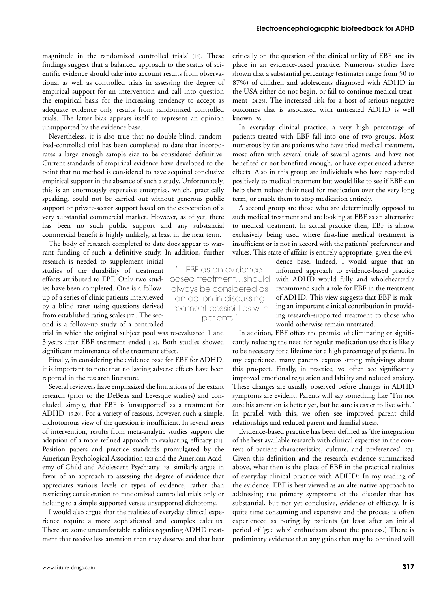magnitude in the randomized controlled trials' [14]. These findings suggest that a balanced approach to the status of scientific evidence should take into account results from observational as well as controlled trials in assessing the degree of empirical support for an intervention and call into question the empirical basis for the increasing tendency to accept as adequate evidence only results from randomized controlled trials. The latter bias appears itself to represent an opinion unsupported by the evidence base.

Nevertheless, it is also true that no double-blind, randomized-controlled trial has been completed to date that incorporates a large enough sample size to be considered definitive. Current standards of empirical evidence have developed to the point that no method is considered to have acquired conclusive empirical support in the absence of such a study. Unfortunately, this is an enormously expensive enterprise, which, practically speaking, could not be carried out without generous public support or private-sector support based on the expectation of a very substantial commercial market. However, as of yet, there has been no such public support and any substantial commercial benefit is highly unlikely, at least in the near term.

The body of research completed to date does appear to warrant funding of such a definitive study. In addition, further

research is needed to supplement initial studies of the durability of treatment effects attributed to EBF. Only two studies have been completed. One is a followup of a series of clinic patients interviewed by a blind rater using questions derived from established rating scales [17]. The second is a follow-up study of a controlled

trial in which the original subject pool was re-evaluated 1 and 3 years after EBF treatment ended [18]. Both studies showed significant maintenance of the treatment effect.

Finally, in considering the evidence base for EBF for ADHD, it is important to note that no lasting adverse effects have been reported in the research literature.

Several reviewers have emphasized the limitations of the extant research (prior to the DeBeus and Levesque studies) and concluded, simply, that EBF is 'unsupported' as a treatment for ADHD [19,20]. For a variety of reasons, however, such a simple, dichotomous view of the question is insufficient. In several areas of intervention, results from meta-analytic studies support the adoption of a more refined approach to evaluating efficacy [21]. Position papers and practice standards promulgated by the American Psychological Association [22] and the American Academy of Child and Adolescent Psychiatry [23] similarly argue in favor of an approach to assessing the degree of evidence that appreciates various levels or types of evidence, rather than restricting consideration to randomized controlled trials only or holding to a simple supported versus unsupported dichotomy.

I would also argue that the realities of everyday clinical experience require a more sophisticated and complex calculus. There are some uncomfortable realities regarding ADHD treatment that receive less attention than they deserve and that bear

'…EBF as an evidencebased treatment…should always be considered as an option in discussing treament possibilities with patients.'

critically on the question of the clinical utility of EBF and its place in an evidence-based practice. Numerous studies have shown that a substantial percentage (estimates range from 50 to 87%) of children and adolescents diagnosed with ADHD in the USA either do not begin, or fail to continue medical treatment [24,25]. The increased risk for a host of serious negative outcomes that is associated with untreated ADHD is well known [26].

In everyday clinical practice, a very high percentage of patients treated with EBF fall into one of two groups. Most numerous by far are patients who have tried medical treatment, most often with several trials of several agents, and have not benefited or not benefited enough, or have experienced adverse effects. Also in this group are individuals who have responded positively to medical treatment but would like to see if EBF can help them reduce their need for medication over the very long term, or enable them to stop medication entirely.

A second group are those who are determinedly opposed to such medical treatment and are looking at EBF as an alternative to medical treatment. In actual practice then, EBF is almost exclusively being used where first-line medical treatment is insufficient or is not in accord with the patients' preferences and values. This state of affairs is entirely appropriate, given the evi-

> dence base. Indeed, I would argue that an informed approach to evidence-based practice with ADHD would fully and wholeheartedly recommend such a role for EBF in the treatment of ADHD. This view suggests that EBF is making an important clinical contribution in providing research-supported treatment to those who would otherwise remain untreated.

In addition, EBF offers the promise of eliminating or significantly reducing the need for regular medication use that is likely to be necessary for a lifetime for a high percentage of patients. In my experience, many parents express strong misgivings about this prospect. Finally, in practice, we often see significantly improved emotional regulation and lability and reduced anxiety. These changes are usually observed before changes in ADHD symptoms are evident. Parents will say something like "I'm not sure his attention is better yet, but he sure is easier to live with." In parallel with this, we often see improved parent–child relationships and reduced parent and familial stress.

Evidence-based practice has been defined as 'the integration of the best available research with clinical expertise in the context of patient characteristics, culture, and preferences' [27]. Given this definition and the research evidence summarized above, what then is the place of EBF in the practical realities of everyday clinical practice with ADHD? In my reading of the evidence, EBF is best viewed as an alternative approach to addressing the primary symptoms of the disorder that has substantial, but not yet conclusive, evidence of efficacy. It is quite time consuming and expensive and the process is often experienced as boring by patients (at least after an initial period of 'gee whiz' enthusiasm about the process.) There is preliminary evidence that any gains that may be obtained will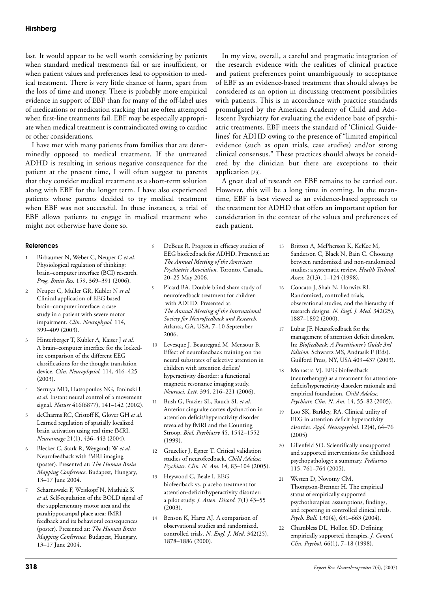# **Hirshberg**

last. It would appear to be well worth considering by patients when standard medical treatments fail or are insufficient, or when patient values and preferences lead to opposition to medical treatment. There is very little chance of harm, apart from the loss of time and money. There is probably more empirical evidence in support of EBF than for many of the off-label uses of medications or medication stacking that are often attempted when first-line treatments fail. EBF may be especially appropriate when medical treatment is contraindicated owing to cardiac or other considerations.

I have met with many patients from families that are determinedly opposed to medical treatment. If the untreated ADHD is resulting in serious negative consequence for the patient at the present time, I will often suggest to parents that they consider medical treatment as a short-term solution along with EBF for the longer term. I have also experienced patients whose parents decided to try medical treatment when EBF was not successful. In these instances, a trial of EBF allows patients to engage in medical treatment who might not otherwise have done so.

### **References**

- 1 Birbaumer N, Weber C, Neuper C *et al.* Physiological regulation of thinking: brain–computer interface (BCI) research. *Prog. Brain Res.* 159, 369–391 (2006).
- 2 Neuper C, Muller GR, Kubler N *et al.* Clinical application of EEG based brain–computer interface: a case study in a patient with severe motor impairment. *Clin. Neurophysol.* 114, 399–409 (2003).
- 3 Hinterberger T, Kubler A, Kaiser J *et al.* A brain–computer interface for the lockedin: comparison of the different EEG classifications for the thought translation device. *Clin. Neurophysiol.* 114, 416–425 (2003).
- 4 Serruya MD, Hatsopoulos NG, Paninski L *et al.* Instant neural control of a movement signal. *Nature* 416(6877), 141–142 (2002).
- 5 deCharms RC, Cristoff K, Glover GH *et al.* Learned regulation of spatially localized brain activation using real time fMRI. *Neuroimage* 21(1), 436–443 (2004).
- 6 Blecker C, Stark R, Weygandt W *et al.* Neurofeedback with fMRI imaging (poster). Presented at: *The Human Brain Mapping Conference*. Budapest, Hungary, 13–17 June 2004.
- 7 Scharnowski F, Weiskopf N, Mathiak K *et al*. Self-regulation of the BOLD signal of the supplementary motor area and the parahippocampal place area: fMRI feedback and its behavioral consequences (poster). Presented at: *The Human Brain Mapping Conference.* Budapest, Hungary, 13–17 June 2004.
- 8 DeBeus R. Progress in efficacy studies of EEG biofeedback for ADHD. Presented at: *The Annual Meeting of the American Psychiatric Association.* Toronto, Canada, 20–25 May 2006.
- 9 Picard BA. Double blind sham study of neurofeedback treatment for children with ADHD. Presented at: *The Annual Meeting of the International Society for Neurofeedback and Research.* Atlanta, GA, USA, 7–10 September 2006.
- 10 Levesque J, Beauregrad M, Mensour B. Effect of neurofeedback training on the neural substrates of selective attention in children with attention deficit/ hyperactivity disorder: a functional magnetic resonance imaging study. *Neurosci. Lett.* 394, 216–221 (2006).
- 11 Bush G, Frazier SL, Rauch SL *et al.* Anterior cingualte cortex dysfunction in attention deficit/hyperactivity disorder revealed by fMRI and the Counting Stroop. *Biol. Psychiatry* 45, 1542–1552  $(1999)$ .
- 12 Gruzelier J, Egner T. Critical validation studies of neurofeedback. *Child Adolesc. Psychiatr. Clin. N. Am.* 14*,* 83–104 (2005).
- 13 Heywood C, Beale I. EEG biofeedback vs. placebo treatment for attention-deficit/hyperactivity disorder: a pilot study. *J. Atten. Disord.* 7(1) 43–55 (2003).
- 14 Benson K, Hartz AJ. A comparison of observational studies and randomized, controlled trials. *N. Engl. J. Med.* 342(25), 1878–1886 (2000).

In my view, overall, a careful and pragmatic integration of the research evidence with the realities of clinical practice and patient preferences point unambiguously to acceptance of EBF as an evidence-based treatment that should always be considered as an option in discussing treatment possibilities with patients. This is in accordance with practice standards promulgated by the American Academy of Child and Adolescent Psychiatry for evaluating the evidence base of psychiatric treatments. EBF meets the standard of 'Clinical Guidelines' for ADHD owing to the presence of "limited empirical evidence (such as open trials, case studies) and/or strong clinical consensus." These practices should always be considered by the clinician but there are exceptions to their application [23].

A great deal of research on EBF remains to be carried out. However, this will be a long time in coming. In the meantime, EBF is best viewed as an evidence-based approach to the treatment for ADHD that offers an important option for consideration in the context of the values and preferences of each patient.

- 15 Britton A, McPherson K, KcKee M, Sanderson C, Black N, Bain C. Choosing between randomized and non-randomized studies: a systematic review. *Health Technol. Assess.* 2(13), 1–124 (1998).
- 16 Concato J, Shah N, Horwitz RI. Randomized, controlled trials, observational studies, and the hierarchy of research designs. *N. Engl. J. Med.* 342(25), 1887–1892 (2000).
- 17 Lubar JF, Neurofeedback for the management of attention deficit disorders. In: *Biofeedback: A Practitioner's Guide 3rd Edition.* Schwartz MS, Andrasik F (Eds). Guilford Press, NY, USA 409–437 (2003).
- 18 Monastra VJ. EEG biofeedback (neurotherapy) as a treatment for attentiondeficit/hyperactivity disorder: rationale and empirical foundation. *Child Adolesc. Psychiatr. Clin. N. Am.* 14*,* 55–82 (2005).
- 19 Loo SK, Barkley, RA. Clinical utility of EEG in attention deficit hyperactivity disorder. *Appl. Neuropsychol.* 12(4), 64–76 (2005)
- 20 Lilienfeld SO. Scientifically unsupported and supported interventions for childhood psychopathology: a summary. *Pediatrics* 115, 761–764 (2005).
- 21 Westen D, Novotny CM, Thompson-Brenner H. The empirical status of empirically supported psychotherapies: assumptions, findings, and reporting in controlled clinical trials. *Psych. Bull.* 130(4), 631–663 (2004).
- 22 Chambless DL, Hollon SD. Defining empirically supported therapies. *J. Consul. Clin. Psychol.* 66(1), 7–18 (1998).